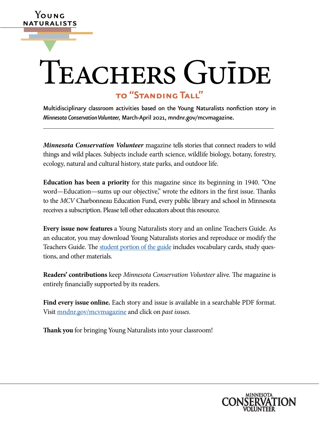# **to "Standing Tall"** ▼ TEACHERS GUĪDE

**Y**oung naturalists

> Multidisciplinary classroom activities based on the Young Naturalists nonfiction story in *Minnesota Conservation Volunteer,* March-April 2021, [mndnr.gov/mcvmagazine.](http://www.dnr.state.mn.us/mcvmagazine/index.html)

> *Minnesota Conservation Volunteer* magazine tells stories that connect readers to wild things and wild places. Subjects include earth science, wildlife biology, botany, forestry, ecology, natural and cultural history, state parks, and outdoor life.

> **Education has been a priority** for this magazine since its beginning in 1940. "One word—Education—sums up our objective," wrote the editors in the first issue. Thanks to the *MCV* Charbonneau Education Fund, every public library and school in Minnesota receives a subscription. Please tell other educators about this resource.

> **Every issue now features** a Young Naturalists story and an online Teachers Guide. As an educator, you may download Young Naturalists stories and reproduce or modify the Teachers Guide. The [student portion of the guide](https://www.dnr.state.mn.us/mcvmagazine/young-naturalists.html) includes vocabulary cards, study questions, and other materials.

> **Readers' contributions** keep *Minnesota Conservation Volunteer* alive. The magazine is entirely financially supported by its readers.

> **Find every issue online.** Each story and issue is available in a searchable PDF format. Visit [mndnr.gov/mcvmagazine](http://www.mndnr.gov/mcvmagazine) and click on *past issues.*

**Thank you** for bringing Young Naturalists into your classroom!

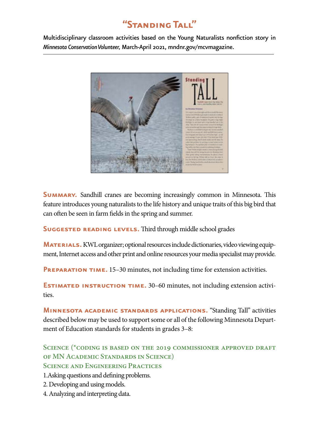# **"Standing Tall"**

Multidisciplinary classroom activities based on the Young Naturalists nonfiction story in *Minnesota Conservation Volunteer,* March-April 2021, [mndnr.gov/mcvmagazine.](http://www.mndnr.gov/mcvmagazine)



**SUMMARY.** Sandhill cranes are becoming increasingly common in Minnesota. This feature introduces young naturalists to the life history and unique traits of this big bird that can often be seen in farm fields in the spring and summer.

**Suggested reading levels.** Third through middle school grades

**MATERIALS.** KWL organizer; optional resources include dictionaries, video viewing equipment, Internet access and other print and online resources your media specialist may provide.

**PREPARATION TIME.** 15–30 minutes, not including time for extension activities.

**ESTIMATED INSTRUCTION TIME.** 30–60 minutes, not including extension activities.

**Minnesota academic standards applications.** "Standing Tall" activities described below may be used to support some or all of the following Minnesota Department of Education standards for students in grades 3–8:

**Science (\*coding is based on the 2019 commissioner approved draft of MN Academic Standards in Science) Science and Engineering Practices**

1.Asking questions and defining problems.

- 2. Developing and using models.
- 4. Analyzing and interpreting data.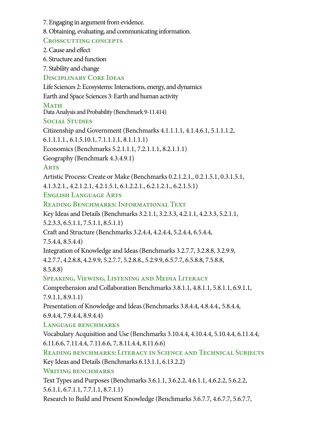- 7. Engaging in argument from evidence.
- 8. Obtaining, evaluating, and communicating information.

# **Crosscutting concepts**

2. Cause and effect

6. Structure and function

7. Stability and change

**Disciplinary Core Ideas**

Life Sciences 2: Ecosystems: Interactions, energy, and dynamics

Earth and Space Sciences 3: Earth and human activity

### **Math**

Data Analysis and Probability (Benchmark 9-11.414)

# **Social Studies**

Citizenship and Government (Benchmarks 4.1.1.1.1, 4.1.4.6.1, 5.1.1.1.2,

6.1.1.1.1., 6.1.5.10.1, 7.1.1.1.1, 8.1.1.1.1)

Economics (Benchmarks 5.2.1.1.1, 7.2.1.1.1, 8.2.1.1.1)

Geography (Benchmark 4.3.4.9.1)

**Arts**

Artistic Process: Create or Make (Benchmarks 0.2.1.2.1., 0.2.1.5.1, 0.3.1.5.1,

4.1.3.2.1., 4.2.1.2.1, 4.2.1.5.1, 6.1.2.2.1., 6.2.1.2.1., 6.2.1.5.1)

**English Language Arts**

**Reading Benchmarks: Informational Text**

Key Ideas and Details (Benchmarks 3.2.1.1, 3.2.3.3, 4.2.1.1, 4.2.3.3, 5.2.1.1,

5.2.3.3, 6.5.1.1, 7.5.1.1, 8.5.1.1)

Craft and Structure (Benchmarks 3.2.4.4, 4.2.4.4, 5.2.4.4, 6.5.4.4,

7.5.4.4, 8.5.4.4)

Integration of Knowledge and Ideas (Benchmarks 3.2.7.7, 3.2.8.8, 3.2.9.9,

4.2.7.7, 4.2.8.8, 4.2.9.9, 5.2.7.7, 5.2.8.8., 5.2.9.9, 6.5.7.7, 6.5.8.8, 7.5.8.8,

8.5.8.8)

**Speaking, Viewing, Listening and Media Literacy**

Comprehension and Collaboration Benchmarks 3.8.1.1, 4.8.1.1, 5.8.1.1, 6.9.1.1, 7.9.1.1, 8.9.1.1)

Presentation of Knowledge and Ideas (Benchmarks 3.8.4.4, 4.8.4.4., 5.8.4.4, 6.9.4.4, 7.9.4.4, 8.9.4.4)

**Language benchmarks**

Vocabulary Acquisition and Use (Benchmarks 3.10.4.4, 4.10.4.4, 5.10.4.4, 6.11.4.4, 6.11.6.6, 7.11.4.4, 7.11.6.6, 7, 8.11.4.4, 8.11.6.6)

**Reading benchmarks**: **Literacy in Science and Technical Subjects** Key Ideas and Details (Benchmarks 6.13.1.1, 6.13.2.2)

**Writing benchmarks**

Text Types and Purposes (Benchmarks 3.6.1.1, 3.6.2.2, 4.6.1.1, 4.6.2.2, 5.6.2.2, 5.6.1.1, 6.7.1.1, 7.7.1.1, 8.7.1.1)

Research to Build and Present Knowledge (Benchmarks 3.6.7.7, 4.6.7.7, 5.6.7.7,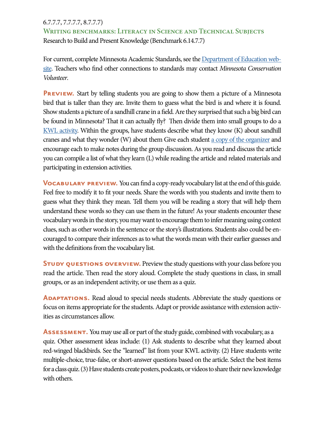#### 6.7.7.7, 7.7.7.7, 8.7.7.7)

**Writing benchmarks: Literacy in Science and Technical Subjects** Research to Build and Present Knowledge (Benchmark 6.14.7.7)

For current, complete Minnesota Academic Standards, see the [Department of Education web](http://www.education.state.mn.us)[site.](http://www.education.state.mn.us) Teachers who find other connections to standards may contact *Minnesota Conservation Volunteer*.

**PREVIEW.** Start by telling students you are going to show them a picture of a Minnesota bird that is taller than they are. Invite them to guess what the bird is and where it is found. Show students a picture of a sandhill crane in a field. Are they surprised that such a big bird can be found in Minnesota? That it can actually fly? Then divide them into small groups to do a [KWL activity.](http://www.nea.org/tools/k-w-l-know-want-to-know-learned.html) Within the groups, have students describe what they know (K) about sandhill cranes and what they wonder (W) about them Give each student [a copy of the organizer](http://www.teach-nology.com/web_tools/graphic_org/kwl) and encourage each to make notes during the group discussion. As you read and discuss the article you can compile a list of what they learn (L) while reading the article and related materials and participating in extension activities.

**VOCABULARY PREVIEW.** You can find a copy-ready vocabulary list at the end of this guide. Feel free to modify it to fit your needs. Share the words with you students and invite them to guess what they think they mean. Tell them you will be reading a story that will help them understand these words so they can use them in the future! As your students encounter these vocabulary words in the story, you may want to encourage them to infer meaning using context clues, such as other words in the sentence or the story's illustrations. Students also could be encouraged to compare their inferences as to what the words mean with their earlier guesses and with the definitions from the vocabulary list.

**STUDY QUESTIONS OVERVIEW.** Preview the study questions with your class before you read the article. Then read the story aloud. Complete the study questions in class, in small groups, or as an independent activity, or use them as a quiz.

**ADAPTATIONS.** Read aloud to special needs students. Abbreviate the study questions or focus on items appropriate for the students. Adapt or provide assistance with extension activities as circumstances allow.

**ASSESSMENT.** You may use all or part of the study guide, combined with vocabulary, as a quiz. Other assessment ideas include: (1) Ask students to describe what they learned about red-winged blackbirds. See the "learned" list from your KWL activity. (2) Have students write multiple-choice, true-false, or short-answer questions based on the article. Select the best items for a class quiz. (3) Have students create posters, podcasts, or videos to share their new knowledge with others.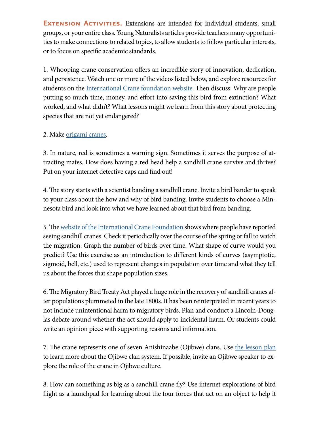**EXTENSION ACTIVITIES.** Extensions are intended for individual students, small groups, or your entire class. Young Naturalists articles provide teachers many opportunities to make connections to related topics, to allow students to follow particular interests, or to focus on specific academic standards.

1. Whooping crane conservation offers an incredible story of innovation, dedication, and persistence. Watch one or more of the videos listed below, and explore resources for students on the [International Crane foundation website](https://savingcranes.org/education/see-how-they-grow/). Then discuss: Why are people putting so much time, money, and effort into saving this bird from extinction? What worked, and what didn't? What lessons might we learn from this story about protecting species that are not yet endangered?

# 2. Make [origami cranes](https://savingcranes.org/education/origami-cranes/).

3. In nature, red is sometimes a warning sign. Sometimes it serves the purpose of attracting mates. How does having a red head help a sandhill crane survive and thrive? Put on your internet detective caps and find out!

4. The story starts with a scientist banding a sandhill crane. Invite a bird bander to speak to your class about the how and why of bird banding. Invite students to choose a Minnesota bird and look into what we have learned about that bird from banding.

5. The [website of the International Crane Foundation](http://z.umn.edu/sandhill) shows where people have reported seeing sandhill cranes. Check it periodically over the course of the spring or fall to watch the migration. Graph the number of birds over time. What shape of curve would you predict? Use this exercise as an introduction to different kinds of curves (asymptotic, sigmoid, bell, etc.) used to represent changes in population over time and what they tell us about the forces that shape population sizes.

6. The Migratory Bird Treaty Act played a huge role in the recovery of sandhill cranes after populations plummeted in the late 1800s. It has been reinterpreted in recent years to not include unintentional harm to migratory birds. Plan and conduct a Lincoln-Douglas debate around whether the act should apply to incidental harm. Or students could write an opinion piece with supporting reasons and information.

7. The crane represents one of seven Anishinaabe (Ojibwe) clans. Use [the lesson plan](https://indianed.mpls.k12.mn.us/uploads/clan_system.pdf) to learn more about the Ojibwe clan system. If possible, invite an Ojibwe speaker to explore the role of the crane in Ojibwe culture.

8. How can something as big as a sandhill crane fly? Use internet explorations of bird flight as a launchpad for learning about the four forces that act on an object to help it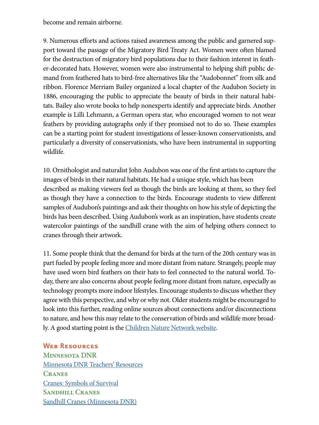become and remain airborne.

9. Numerous efforts and actions raised awareness among the public and garnered support toward the passage of the Migratory Bird Treaty Act. Women were often blamed for the destruction of migratory bird populations due to their fashion interest in feather-decorated hats. However, women were also instrumental to helping shift public demand from feathered hats to bird-free alternatives like the "Audobonnet" from silk and ribbon. Florence Merriam Bailey organized a local chapter of the Audubon Society in 1886, encouraging the public to appreciate the beauty of birds in their natural habitats. Bailey also wrote books to help nonexperts identify and appreciate birds. Another example is Lilli Lehmann, a German opera star, who encouraged women to not wear feathers by providing autographs only if they promised not to do so. These examples can be a starting point for student investigations of lesser-known conservationists, and particularly a diversity of conservationists, who have been instrumental in supporting wildlife.

10. Ornithologist and naturalist John Audubon was one of the first artists to capture the images of birds in their natural habitats. He had a unique style, which has been described as making viewers feel as though the birds are looking at them, so they feel as though they have a connection to the birds. Encourage students to view different samples of Audubon's paintings and ask their thoughts on how his style of depicting the birds has been described. Using Audubon's work as an inspiration, have students create watercolor paintings of the sandhill crane with the aim of helping others connect to cranes through their artwork.

11. Some people think that the demand for birds at the turn of the 20th century was in part fueled by people feeling more and more distant from nature. Strangely, people may have used worn bird feathers on their hats to feel connected to the natural world. Today, there are also concerns about people feeling more distant from nature, especially as technology prompts more indoor lifestyles. Encourage students to discuss whether they agree with this perspective, and why or why not. Older students might be encouraged to look into this further, reading online sources about connections and/or disconnections to nature, and how this may relate to the conservation of birds and wildlife more broadly. A good starting point is the [Children Nature Network website](https://www.childrenandnature.org/).

#### **Web Resources**

**Minnesota DNR** [Minnesota DNR Teachers' Resources](http://www.dnr.state.mn.us/education/teachers/index.html) **Cranes** Cranes: Symbols of Survival **Sandhill Cranes** [Sandhill Cranes \(Minnesota DNR\)](https://www.dnr.state.mn.us/birds/sandhillcrane.html)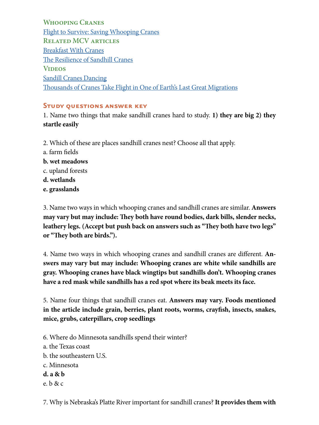**Whooping Cranes** [Flight to Survive: Saving Whooping Cranes](https://www.youtube.com/watch?v=Ye4Swf3-yDM) **Related MCV articles** [Breakfast With Cranes](https://webapps15.dnr.state.mn.us/volunteer_index_api/past_issues/article_pdf?id=8350) [The Resilience of Sandhill Cranes](https://webapps15.dnr.state.mn.us/volunteer_index_api/past_issues/article_pdf?id=8349) **Videos** [Sandill Cranes Dancing](https://www.youtube.com/watch?v=a_O40AC9EpM) [Thousands of Cranes Take Flight in One of Earth's Last Great Migrations](https://www.youtube.com/watch?v=COkT0Rx9gEI)

#### **Study questions answer key**

1. Name two things that make sandhill cranes hard to study. **1) they are big 2) they startle easily**

- 2. Which of these are places sandhill cranes nest? Choose all that apply.
- a. farm fields
- **b. wet meadows**
- c. upland forests
- **d. wetlands**
- **e. grasslands**

3. Name two ways in which whooping cranes and sandhill cranes are similar. **Answers may vary but may include: They both have round bodies, dark bills, slender necks, leathery legs. (Accept but push back on answers such as "They both have two legs" or "They both are birds.").** 

4. Name two ways in which whooping cranes and sandhill cranes are different. **Answers may vary but may include: Whooping cranes are white while sandhills are gray. Whooping cranes have black wingtips but sandhills don't. Whooping cranes have a red mask while sandhills has a red spot where its beak meets its face.**

5. Name four things that sandhill cranes eat. **Answers may vary. Foods mentioned in the article include grain, berries, plant roots, worms, crayfish, insects, snakes, mice, grubs, caterpillars, crop seedlings**

6. Where do Minnesota sandhills spend their winter? a. the Texas coast b. the southeastern U.S. c. Minnesota **d. a & b** e. b & c

7. Why is Nebraska's Platte River important for sandhill cranes? **It provides them with**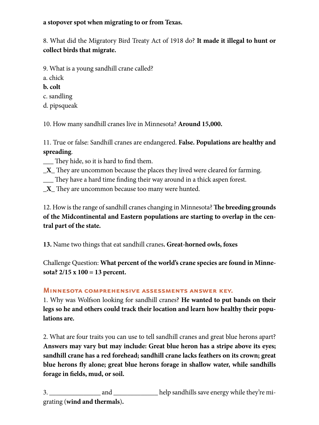### **a stopover spot when migrating to or from Texas.**

8. What did the Migratory Bird Treaty Act of 1918 do? **It made it illegal to hunt or collect birds that migrate.**

- 9. What is a young sandhill crane called?
- a. chick
- **b. colt**
- c. sandling
- d. pipsqueak

10. How many sandhill cranes live in Minnesota? **Around 15,000.**

11. True or false: Sandhill cranes are endangered. **False. Populations are healthy and spreading**.

\_\_\_ They hide, so it is hard to find them.

- **\_X\_** They are uncommon because the places they lived were cleared for farming.
- \_\_\_ They have a hard time finding their way around in a thick aspen forest.
- **\_X\_** They are uncommon because too many were hunted.

12. How is the range of sandhill cranes changing in Minnesota? **The breeding grounds of the Midcontinental and Eastern populations are starting to overlap in the central part of the state.** 

**13.** Name two things that eat sandhill cranes**. Great-horned owls, foxes**

Challenge Question: **What percent of the world's crane species are found in Minnesota? 2/15 x 100 = 13 percent.**

#### **Minnesota comprehensive assessments answer key.**

1. Why was Wolfson looking for sandhill cranes? **He wanted to put bands on their legs so he and others could track their location and learn how healthy their populations are.**

2. What are four traits you can use to tell sandhill cranes and great blue herons apart? **Answers may vary but may include: Great blue heron has a stripe above its eyes; sandhill crane has a red forehead; sandhill crane lacks feathers on its crown; great blue herons fly alone; great blue herons forage in shallow water, while sandhills forage in fields, mud, or soil.**

3. \_\_\_\_\_\_\_\_\_\_\_\_\_\_\_ and \_\_\_\_\_\_\_\_\_\_\_\_\_ help sandhills save energy while they're migrating (**wind and thermals**)**.**